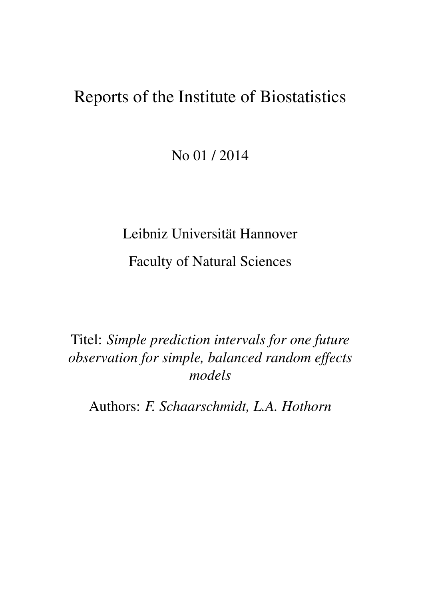# Reports of the Institute of Biostatistics

No 01 / 2014

# Leibniz Universität Hannover

Faculty of Natural Sciences

Titel: *Simple prediction intervals for one future observation for simple, balanced random effects models*

Authors: *F. Schaarschmidt, L.A. Hothorn*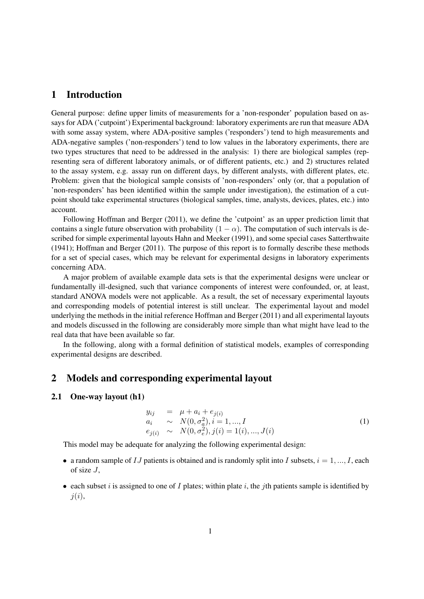## 1 Introduction

General purpose: define upper limits of measurements for a 'non-responder' population based on assays for ADA ('cutpoint') Experimental background: laboratory experiments are run that measure ADA with some assay system, where ADA-positive samples ('responders') tend to high measurements and ADA-negative samples ('non-responders') tend to low values in the laboratory experiments, there are two types structures that need to be addressed in the analysis: 1) there are biological samples (representing sera of different laboratory animals, or of different patients, etc.) and 2) structures related to the assay system, e.g. assay run on different days, by different analysts, with different plates, etc. Problem: given that the biological sample consists of 'non-responders' only (or, that a population of 'non-responders' has been identified within the sample under investigation), the estimation of a cutpoint should take experimental structures (biological samples, time, analysts, devices, plates, etc.) into account.

Following Hoffman and Berger (2011), we define the 'cutpoint' as an upper prediction limit that contains a single future observation with probability  $(1 - \alpha)$ . The computation of such intervals is described for simple experimental layouts Hahn and Meeker (1991), and some special cases Satterthwaite (1941); Hoffman and Berger (2011). The purpose of this report is to formally describe these methods for a set of special cases, which may be relevant for experimental designs in laboratory experiments concerning ADA.

A major problem of available example data sets is that the experimental designs were unclear or fundamentally ill-designed, such that variance components of interest were confounded, or, at least, standard ANOVA models were not applicable. As a result, the set of necessary experimental layouts and corresponding models of potential interest is still unclear. The experimental layout and model underlying the methods in the initial reference Hoffman and Berger (2011) and all experimental layouts and models discussed in the following are considerably more simple than what might have lead to the real data that have been available so far.

In the following, along with a formal definition of statistical models, examples of corresponding experimental designs are described.

# 2 Models and corresponding experimental layout

#### 2.1 One-way layout (h1)

$$
y_{ij} = \mu + a_i + e_{j(i)}
$$
  
\n
$$
a_i \sim N(0, \sigma_a^2), i = 1, ..., I
$$
  
\n
$$
e_{j(i)} \sim N(0, \sigma_e^2), j(i) = 1(i), ..., J(i)
$$
\n(1)

This model may be adequate for analyzing the following experimental design:

- a random sample of IJ patients is obtained and is randomly split into I subsets,  $i = 1, ..., I$ , each of size  $J$ ,
- each subset i is assigned to one of I plates; within plate i, the jth patients sample is identified by  $i(i)$ ,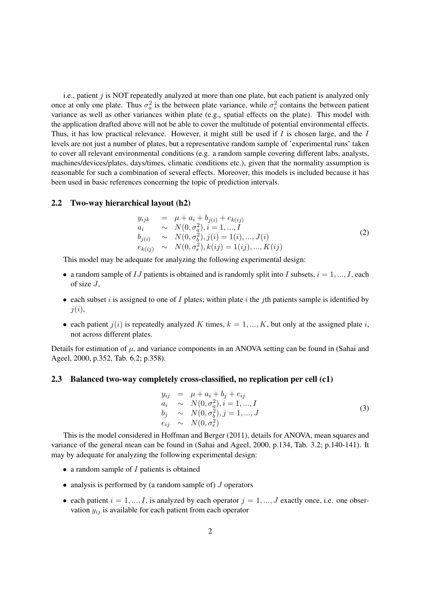i.e., patient  $j$  is NOT repeatedly analyzed at more than one plate, but each patient is analyzed only once at only one plate. Thus  $\sigma_a^2$  is the between plate variance, while  $\sigma_e^2$  contains the between patient variance as well as other variances within plate (e.g., spatial effects on the plate). This model with the application drafted above will not be able to cover the multitude of potential environmental effects. Thus, it has low practical relevance. However, it might still be used if  $I$  is chosen large, and the  $I$ levels are not just a number of plates, but a representative random sample of 'experimental runs' taken to cover all relevant environmental conditions (e.g. a random sample covering different labs, analysts, machines/devices/plates, days/times, climatic conditions etc.), given that the normality assumption is reasonable for such a combination of several effects. Moreover, this models is included because it has been used in basic references concerning the topic of prediction intervals.

#### 2.2 Two-way hierarchical layout (h2)

$$
y_{ijk} = \mu + a_i + b_{j(i)} + e_{k(ij)} \n a_i \sim N(0, \sigma_a^2), i = 1, ..., I \n b_{j(i)} \sim N(0, \sigma_b^2), j(i) = 1(i), ..., J(i) \n e_{k(ij)} \sim N(0, \sigma_e^2), k(ij) = 1(ij), ..., K(ij)
$$
\n(2)

This model may be adequate for analyzing the following experimental design:

- a random sample of IJ patients is obtained and is randomly split into I subsets,  $i = 1, ..., I$ , each of size  $J$ ,
- each subset  $i$  is assigned to one of  $I$  plates; within plate  $i$  the  $j$ th patients sample is identified by  $j(i),$
- each patient  $j(i)$  is repeatedly analyzed K times,  $k = 1, ..., K$ , but only at the assigned plate i, not across different plates.

Details for estimation of  $\mu$ , and variance components in an ANOVA setting can be found in (Sahai and Ageel, 2000, p.352, Tab. 6.2; p.358).

#### 2.3 Balanced two-way completely cross-classified, no replication per cell (c1)

$$
y_{ij} = \mu + a_i + b_j + e_{ij} \n a_i \sim N(0, \sigma_a^2), i = 1, ..., I \n b_j \sim N(0, \sigma_b^2), j = 1, ..., J \n e_{ij} \sim N(0, \sigma_e^2)
$$
\n(3)

This is the model considered in Hoffman and Berger (2011), details for ANOVA, mean squares and variance of the general mean can be found in (Sahai and Ageel, 2000, p.134, Tab. 3.2; p.140-141). It may by adequate for analyzing the following experimental design:

- $\bullet$  a random sample of  $I$  patients is obtained
- analysis is performed by (a random sample of)  $J$  operators
- each patient  $i = 1, ..., I$ , is analyzed by each operator  $j = 1, ..., J$  exactly once, i.e. one observation  $y_{ij}$  is available for each patient from each operator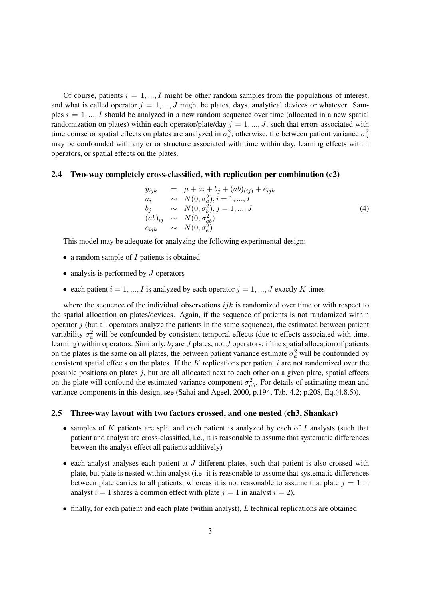Of course, patients  $i = 1, ..., I$  might be other random samples from the populations of interest, and what is called operator  $j = 1, ..., J$  might be plates, days, analytical devices or whatever. Samples  $i = 1, ..., I$  should be analyzed in a new random sequence over time (allocated in a new spatial randomization on plates) within each operator/plate/day  $j = 1, ..., J$ , such that errors associated with time course or spatial effects on plates are analyzed in  $\sigma_e^2$ ; otherwise, the between patient variance  $\sigma_a^2$ may be confounded with any error structure associated with time within day, learning effects within operators, or spatial effects on the plates.

#### 2.4 Two-way completely cross-classified, with replication per combination (c2)

$$
y_{ijk} = \mu + a_i + b_j + (ab)_{(ij)} + e_{ijk} \na_i \sim N(0, \sigma_a^2), i = 1, ..., I \nb_j \sim N(0, \sigma_b^2), j = 1, ..., J \n(ab)_{ij} \sim N(0, \sigma_{ab}^2) \ne_{ijk} \sim N(0, \sigma_e^2)
$$
\n(4)

This model may be adequate for analyzing the following experimental design:

- a random sample of  $I$  patients is obtained
- analysis is performed by  $J$  operators
- each patient  $i = 1, ..., I$  is analyzed by each operator  $j = 1, ..., J$  exactly K times

where the sequence of the individual observations  $ijk$  is randomized over time or with respect to the spatial allocation on plates/devices. Again, if the sequence of patients is not randomized within operator  $j$  (but all operators analyze the patients in the same sequence), the estimated between patient variability  $\sigma_a^2$  will be confounded by consistent temporal effects (due to effects associated with time, learning) within operators. Similarly,  $b_j$  are  $J$  plates, not  $J$  operators: if the spatial allocation of patients on the plates is the same on all plates, the between patient variance estimate  $\sigma_a^2$  will be confounded by consistent spatial effects on the plates. If the  $K$  replications per patient  $i$  are not randomized over the possible positions on plates  $j$ , but are all allocated next to each other on a given plate, spatial effects on the plate will confound the estimated variance component  $\sigma_{ab}^2$ . For details of estimating mean and variance components in this design, see (Sahai and Ageel, 2000, p.194, Tab. 4.2; p.208, Eq.(4.8.5)).

#### 2.5 Three-way layout with two factors crossed, and one nested (ch3, Shankar)

- samples of K patients are split and each patient is analyzed by each of I analysts (such that patient and analyst are cross-classified, i.e., it is reasonable to assume that systematic differences between the analyst effect all patients additively)
- $\bullet$  each analyst analyses each patient at  $J$  different plates, such that patient is also crossed with plate, but plate is nested within analyst (i.e. it is reasonable to assume that systematic differences between plate carries to all patients, whereas it is not reasonable to assume that plate  $j = 1$  in analyst  $i = 1$  shares a common effect with plate  $j = 1$  in analyst  $i = 2$ ),
- finally, for each patient and each plate (within analyst), L technical replications are obtained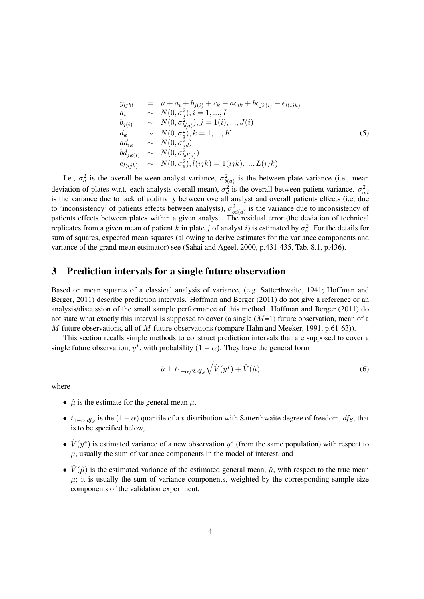$$
y_{ijkl} = \mu + a_i + b_{j(i)} + c_k + ac_{ik} + bc_{jk(i)} + e_{l(ijk)}
$$
  
\n
$$
a_i \sim N(0, \sigma_a^2), i = 1, ..., I
$$
  
\n
$$
b_{j(i)} \sim N(0, \sigma_{b(a)}^2), j = 1(i), ..., J(i)
$$
  
\n
$$
d_k \sim N(0, \sigma_d^2), k = 1, ..., K
$$
  
\n
$$
ad_{ik} \sim N(0, \sigma_{ad}^2)
$$
  
\n
$$
bd_{jk(i)} \sim N(0, \sigma_{bd(a)}^2)
$$
  
\n
$$
e_{l(ijk)} \sim N(0, \sigma_e^2), l(ijk) = 1(ijk), ..., L(ijk)
$$
\n(5)

I.e.,  $\sigma_a^2$  is the overall between-analyst variance,  $\sigma_{b(a)}^2$  is the between-plate variance (i.e., mean deviation of plates w.r.t. each analysts overall mean),  $\sigma_d^2$  is the overall between-patient variance.  $\sigma_{ad}^2$ is the variance due to lack of additivity between overall analyst and overall patients effects (i.e, due to 'inconsistency' of patients effects between analysts),  $\sigma_{bd(a)}^2$  is the variance due to inconsistency of patients effects between plates within a given analyst. The residual error (the deviation of technical replicates from a given mean of patient k in plate j of analyst i) is estimated by  $\sigma_e^2$ . For the details for sum of squares, expected mean squares (allowing to derive estimates for the variance components and variance of the grand mean etsimator) see (Sahai and Ageel, 2000, p.431-435, Tab. 8.1, p.436).

#### 3 Prediction intervals for a single future observation

Based on mean squares of a classical analysis of variance, (e.g. Satterthwaite, 1941; Hoffman and Berger, 2011) describe prediction intervals. Hoffman and Berger (2011) do not give a reference or an analysis/discussion of the small sample performance of this method. Hoffman and Berger (2011) do not state what exactly this interval is supposed to cover (a single  $(M=1)$  future observation, mean of a M future observations, all of M future observations (compare Hahn and Meeker, 1991, p.61-63)).

This section recalls simple methods to construct prediction intervals that are supposed to cover a single future observation,  $y^*$ , with probability  $(1 - \alpha)$ . They have the general form

$$
\hat{\mu} \pm t_{1-\alpha/2, df_S} \sqrt{\hat{V}(y^*) + \hat{V}(\hat{\mu})}
$$
\n(6)

where

- $\hat{\mu}$  is the estimate for the general mean  $\mu$ ,
- $t_{1-\alpha,dfs}$  is the  $(1-\alpha)$  quantile of a t-distribution with Satterthwaite degree of freedom,  $df_s$ , that is to be specified below,
- $\hat{V}(y^*)$  is estimated variance of a new observation  $y^*$  (from the same population) with respect to  $\mu$ , usually the sum of variance components in the model of interest, and
- $\hat{V}(\hat{\mu})$  is the estimated variance of the estimated general mean,  $\hat{\mu}$ , with respect to the true mean  $\mu$ ; it is usually the sum of variance components, weighted by the corresponding sample size components of the validation experiment.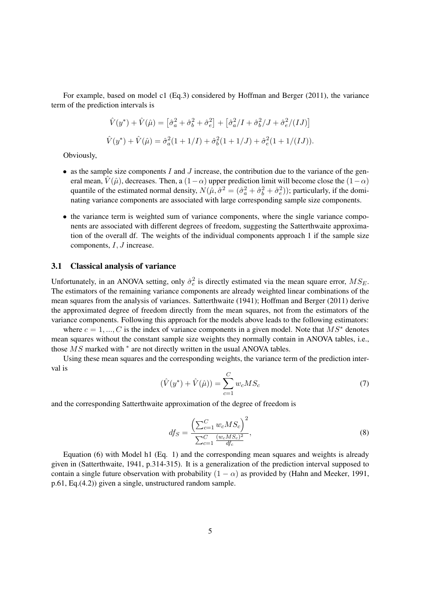For example, based on model c1 (Eq.3) considered by Hoffman and Berger (2011), the variance term of the prediction intervals is

$$
\hat{V}(y^*) + \hat{V}(\hat{\mu}) = \left[\hat{\sigma}_a^2 + \hat{\sigma}_b^2 + \hat{\sigma}_e^2\right] + \left[\hat{\sigma}_a^2/I + \hat{\sigma}_b^2/J + \hat{\sigma}_e^2/(IJ)\right]
$$
  

$$
\hat{V}(y^*) + \hat{V}(\hat{\mu}) = \hat{\sigma}_a^2(1 + 1/I) + \hat{\sigma}_b^2(1 + 1/J) + \hat{\sigma}_e^2(1 + 1/(IJ)).
$$

Obviously,

- as the sample size components  $I$  and  $J$  increase, the contribution due to the variance of the general mean,  $\hat{V}(\hat{\mu})$ , decreases. Then, a  $(1-\alpha)$  upper prediction limit will become close the  $(1-\alpha)$ quantile of the estimated normal density,  $N(\hat{\mu}, \hat{\sigma}^2 = (\hat{\sigma}_a^2 + \hat{\sigma}_b^2 + \hat{\sigma}_e^2)$ ; particularly, if the dominating variance components are associated with large corresponding sample size components.
- the variance term is weighted sum of variance components, where the single variance components are associated with different degrees of freedom, suggesting the Satterthwaite approximation of the overall df. The weights of the individual components approach 1 if the sample size components,  $I, J$  increase.

#### 3.1 Classical analysis of variance

Unfortunately, in an ANOVA setting, only  $\hat{\sigma}_e^2$  is directly estimated via the mean square error,  $MS_E$ . The estimators of the remaining variance components are already weighted linear combinations of the mean squares from the analysis of variances. Satterthwaite (1941); Hoffman and Berger (2011) derive the approximated degree of freedom directly from the mean squares, not from the estimators of the variance components. Following this approach for the models above leads to the following estimators:

where  $c = 1, ..., C$  is the index of variance components in a given model. Note that  $MS^*$  denotes mean squares without the constant sample size weights they normally contain in ANOVA tables, i.e., those  $\overline{MS}$  marked with  $*$  are not directly written in the usual ANOVA tables.

Using these mean squares and the corresponding weights, the variance term of the prediction interval is

$$
(\hat{V}(y^*) + \hat{V}(\hat{\mu})) = \sum_{c=1}^{C} w_c MS_c
$$
\n(7)

and the corresponding Satterthwaite approximation of the degree of freedom is

$$
df_S = \frac{\left(\sum_{c=1}^{C} w_c MS_c\right)^2}{\sum_{c=1}^{C} \frac{(w_c MS_c)^2}{df_c}},
$$
\n(8)

Equation (6) with Model h1 (Eq. 1) and the corresponding mean squares and weights is already given in (Satterthwaite, 1941, p.314-315). It is a generalization of the prediction interval supposed to contain a single future observation with probability  $(1 - \alpha)$  as provided by (Hahn and Meeker, 1991, p.61, Eq.(4.2)) given a single, unstructured random sample.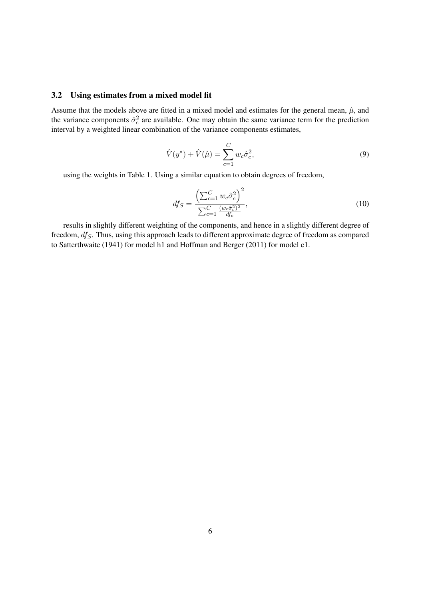#### 3.2 Using estimates from a mixed model fit

Assume that the models above are fitted in a mixed model and estimates for the general mean,  $\hat{\mu}$ , and the variance components  $\hat{\sigma}_c^2$  are available. One may obtain the same variance term for the prediction interval by a weighted linear combination of the variance components estimates,

$$
\hat{V}(y^*) + \hat{V}(\hat{\mu}) = \sum_{c=1}^{C} w_c \hat{\sigma}_c^2,
$$
\n(9)

using the weights in Table 1. Using a similar equation to obtain degrees of freedom,

$$
df_S = \frac{\left(\sum_{c=1}^{C} w_c \hat{\sigma}_c^2\right)^2}{\sum_{c=1}^{C} \frac{(w_c \hat{\sigma}_c^2)^2}{df_c}},\tag{10}
$$

results in slightly different weighting of the components, and hence in a slightly different degree of freedom,  $df_S$ . Thus, using this approach leads to different approximate degree of freedom as compared to Satterthwaite (1941) for model h1 and Hoffman and Berger (2011) for model c1.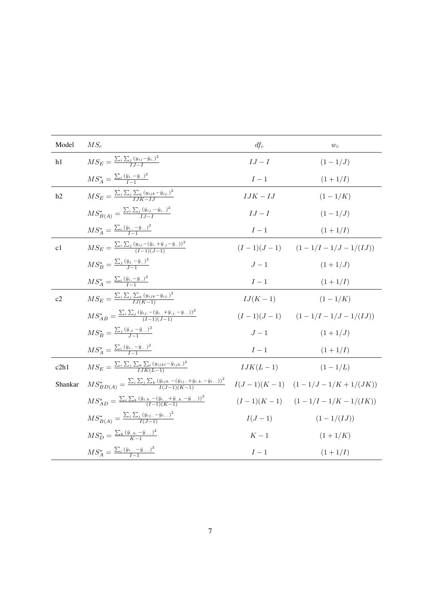| Model   | $MS_c$                                                                                                                      | $df_c$       | $\boldsymbol{w}_c$                 |
|---------|-----------------------------------------------------------------------------------------------------------------------------|--------------|------------------------------------|
| h1      | $M S_E = \frac{\sum_i \sum_j (y_{ij} - \bar{y}_{i.})^2}{I I - I}$                                                           | $\cal{I}J-I$ | $(1 - 1/J)$                        |
|         | $MS_A^* = \frac{\sum_i (\bar{y}_{i.} - \bar{y}_{})^2}{I-1}$                                                                 | ${\cal I}-1$ | $(1+1/I)$                          |
| h2      | $MS_E = \frac{\sum_i \sum_j \sum_k (y_{ijk} - \bar{y}_{ij.})^2}{IJK+II}$                                                    | $IJK-JJ$     | $(1 - 1/K)$                        |
|         | $MS_{B(A)}^* = \frac{\sum_i \sum_j (\bar{y}_{ij.} - \bar{y}_{i})^2}{L - L}$                                                 | $IJ-I$       | $(1 - 1/J)$                        |
|         | $MS_A^* = \frac{\sum_i (\bar{y}_{i} - \bar{y}_{})^2}{I-1}$                                                                  | $\cal I-1$   | $(1+1/I)$                          |
| c1      | $M S_E = \frac{\sum_i \sum_j (y_{ij} - (\bar{y}_i + \bar{y}_{.j} - \bar{y}_{}))^2}{(I-1)(J-1)}$                             |              | $(I-1)(J-1)$ $(1-1/I-1/J-1/(IJ))$  |
|         | $MS_B^* = \frac{\sum_j (\bar{y}_j - \bar{y}_n)^2}{I-1}$                                                                     | $J-1$        | $(1+1/J)$                          |
|         | $MS_A^* = \frac{\sum_i (\bar{y}_{i.} - \bar{y}_{})^2}{I-1}$                                                                 | ${\cal I}-1$ | $(1+1/I)$                          |
| c2      | $M S_E = \frac{\sum_i \sum_j \sum_k (y_{ijk} - \bar{y}_{ij.})^2}{L L (K-1)}$                                                | $IJ(K-1)$    | $(1-1/K)$                          |
|         | $MS_{AB}^* = \frac{\sum_i \sum_j (\bar{y}_{ij.} - (\bar{y}_{i.} + \bar{y}_{.j.} - \bar{y}_{}))^2}{(I-1)(I-1)}$              |              | $(I-1)(J-1)$ $(1-1/I-1/J-1/(IJ))$  |
|         | $MS_{B}^{*} = \frac{\sum_{j} (\bar{y}_{\cdot j} - \bar{y}_{\cdot \cdot \cdot})^2}{I-1}$                                     | $J-1$        | $(1+1/J)$                          |
|         | $MS_A^* = \frac{\sum_i (\bar{y}_{i} - \bar{y}_{})^2}{I-1}$                                                                  | $I-1$        | $(1+1/I)$                          |
| c2h1    | $M S_E = \frac{\sum_i \sum_j \sum_k \sum_l (y_{ijkl} - \bar{y}_{ijk.})^2}{I K (I-1)}$                                       | $IJK(L-1)$   | $(1 - 1/L)$                        |
| Shankar | $MS^*_{BD(A)} = \frac{\sum_i \sum_j \sum_k (\bar{y}_{ijk} - (\bar{y}_{ij} + \bar{y}_{i.k.} - \bar{y}_{i}))^2}{I(J-1)(K-1)}$ |              | $I(J-1)(K-1)$ $(1-1/J-1/K+1/(JK))$ |
|         | $MS_{AD}^{*} = \frac{\sum_{i} \sum_{k} (\bar{y}_{i.k.} - (\bar{y}_{i} + \bar{y}_{ik} - \bar{y}_{i}))^{2}}{(I-1)(K-1)}$      |              | $(I-1)(K-1)$ $(1-1/I-1/K-1/(IK))$  |
|         | $MS_{B(A)}^* = \frac{\sum_i \sum_j (\bar{y}_{ij} - \bar{y}_{i})^2}{L(L-1)}$                                                 | $I(J-1)$     | $(1-1/(IJ))$                       |
|         | $MS_D^* = \frac{\sum_k (\bar{y}_{k.} - \bar{y}_{})^2}{K-1}$                                                                 | $K-1$        | $(1+1/K)$                          |
|         | $MS_A^* = \frac{\sum_i (\bar{y}_{i} - \bar{y}_{})^2}{I-1}$                                                                  | $I-1$        | $(1+1/I)$                          |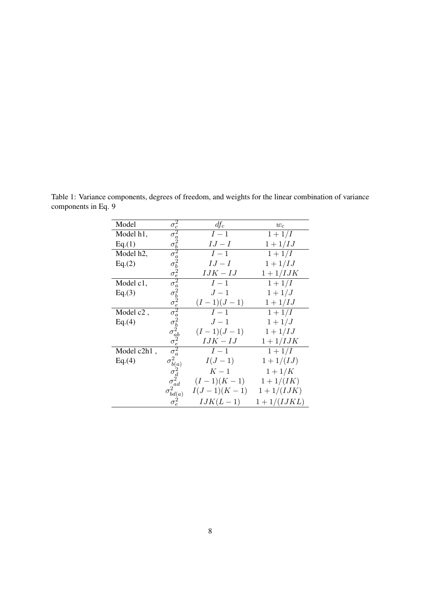| Model                  | $\begin{array}{c} \sigma_c^2 \\ \sigma_a^2 \\ \sigma_a^2 \\ \sigma_b^2 \\ \sigma_a^2 \\ \sigma_b^2 \\ \sigma_a^2 \\ \sigma_a^2 \\ \sigma_a^2 \\ \sigma_a^2 \\ \sigma_a^2 \\ \sigma_a^2 \\ \sigma_a^2 \\ \sigma_a^2 \\ \sigma_a^2 \\ \sigma_a^2 \\ \sigma_a^2 \\ \sigma_a^2 \\ \sigma_a^2 \\ \sigma_a^2 \\ \sigma_a^2 \\ \sigma_a^2 \\ \sigma_a^2 \\ \sigma_a^2 \\ \sigma_a^2 \\ \sigma_a^2 \\ \sigma_a^2 \\ \sigma_a^2 \\ \sigma_a^2 \\ \sigma_a^2 \\ \sigma_a^2 \\ \sigma_a^2 \\ \sigma_a^2 \\ \sigma_a^2 \\ \sigma_a^2 \\ \sigma_a$ | $df_c$           | $\boldsymbol{w_c}$ |
|------------------------|---------------------------------------------------------------------------------------------------------------------------------------------------------------------------------------------------------------------------------------------------------------------------------------------------------------------------------------------------------------------------------------------------------------------------------------------------------------------------------------------------------------------------------------|------------------|--------------------|
| Model h1,              |                                                                                                                                                                                                                                                                                                                                                                                                                                                                                                                                       | $I-1$            | $1 + 1/I$          |
| Eq.(1)                 |                                                                                                                                                                                                                                                                                                                                                                                                                                                                                                                                       | $IJ-I$           | $1 + 1/IJ$         |
| Model h <sub>2</sub> , |                                                                                                                                                                                                                                                                                                                                                                                                                                                                                                                                       | $\overline{I}-1$ | $1 + 1/I$          |
| Eq.(2)                 |                                                                                                                                                                                                                                                                                                                                                                                                                                                                                                                                       | $IJ-I$           | $1+1/IJ$           |
|                        |                                                                                                                                                                                                                                                                                                                                                                                                                                                                                                                                       | $IJK-JJ$         | $1+1/ IJK$         |
| Model c1,              |                                                                                                                                                                                                                                                                                                                                                                                                                                                                                                                                       | $I-1$            | $1 + 1/I$          |
| Eq.(3)                 |                                                                                                                                                                                                                                                                                                                                                                                                                                                                                                                                       | $J-1$            | $1 + 1/J$          |
|                        |                                                                                                                                                                                                                                                                                                                                                                                                                                                                                                                                       | $(I-1)(J-1)$     | $1+1/IJ$           |
| Model c <sub>2</sub> , |                                                                                                                                                                                                                                                                                                                                                                                                                                                                                                                                       | $I-1$            | $1+1/I$            |
| Eq.(4)                 |                                                                                                                                                                                                                                                                                                                                                                                                                                                                                                                                       | $J-1$            | $1+1/J$            |
|                        |                                                                                                                                                                                                                                                                                                                                                                                                                                                                                                                                       | $(I-1)(J-1)$     | $1+1/IJ$           |
|                        |                                                                                                                                                                                                                                                                                                                                                                                                                                                                                                                                       | $IJK-JJ$         | $1+1/ IJK$         |
| Model c2h1,            |                                                                                                                                                                                                                                                                                                                                                                                                                                                                                                                                       | $I-1$            | $1 + 1/I$          |
| Eq.(4)                 | $\sigma^2_{b(a)}$                                                                                                                                                                                                                                                                                                                                                                                                                                                                                                                     | $I(J-1)$         | $1 + 1/(IJ)$       |
|                        |                                                                                                                                                                                                                                                                                                                                                                                                                                                                                                                                       | $K-1$            | $1 + 1/K$          |
|                        | $\sigma_d^2 \over \sigma_{ad}^2 \over 2$                                                                                                                                                                                                                                                                                                                                                                                                                                                                                              | $(I-1)(K-1)$     | $1 + 1/(IK)$       |
|                        |                                                                                                                                                                                                                                                                                                                                                                                                                                                                                                                                       | $I(J-1)(K-1)$    | $1 + 1/(IJK)$      |
|                        | $\sigma_{bd(a)}^2 \ \sigma_{e}^2$                                                                                                                                                                                                                                                                                                                                                                                                                                                                                                     | $IJK(L-1)$       | $1+1/(IJKL)$       |

Table 1: Variance components, degrees of freedom, and weights for the linear combination of variance components in Eq. 9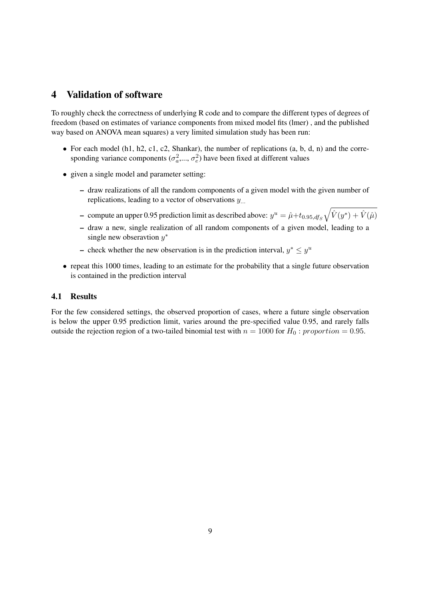# 4 Validation of software

To roughly check the correctness of underlying R code and to compare the different types of degrees of freedom (based on estimates of variance components from mixed model fits (lmer) , and the published way based on ANOVA mean squares) a very limited simulation study has been run:

- For each model (h1, h2, c1, c2, Shankar), the number of replications (a, b, d, n) and the corresponding variance components  $(\sigma_a^2, ..., \sigma_e^2)$  have been fixed at different values
- given a single model and parameter setting:
	- draw realizations of all the random components of a given model with the given number of replications, leading to a vector of observations  $y_{\ldots}$
	- compute an upper 0.95 prediction limit as described above:  $y^u = \hat{\mu}+t_{0.95,dfs}\sqrt{\hat{V}(y^*)+\hat{V}(\hat{\mu})}$
	- draw a new, single realization of all random components of a given model, leading to a single new obseravtion  $y^*$
	- check whether the new observation is in the prediction interval,  $y^* \leq y^u$
- repeat this 1000 times, leading to an estimate for the probability that a single future observation is contained in the prediction interval

#### 4.1 Results

For the few considered settings, the observed proportion of cases, where a future single observation is below the upper 0.95 prediction limit, varies around the pre-specified value 0.95, and rarely falls outside the rejection region of a two-tailed binomial test with  $n = 1000$  for  $H_0$ : proportion = 0.95.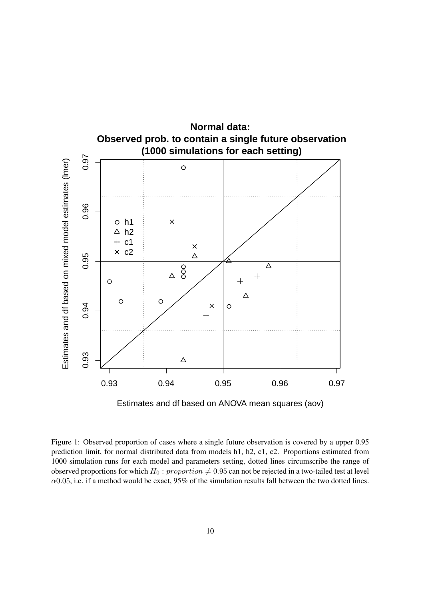



Figure 1: Observed proportion of cases where a single future observation is covered by a upper 0.95 prediction limit, for normal distributed data from models h1, h2, c1, c2. Proportions estimated from 1000 simulation runs for each model and parameters setting, dotted lines circumscribe the range of observed proportions for which  $H_0$ : proportion  $\neq 0.95$  can not be rejected in a two-tailed test at level  $\alpha$ 0.05, i.e. if a method would be exact, 95% of the simulation results fall between the two dotted lines.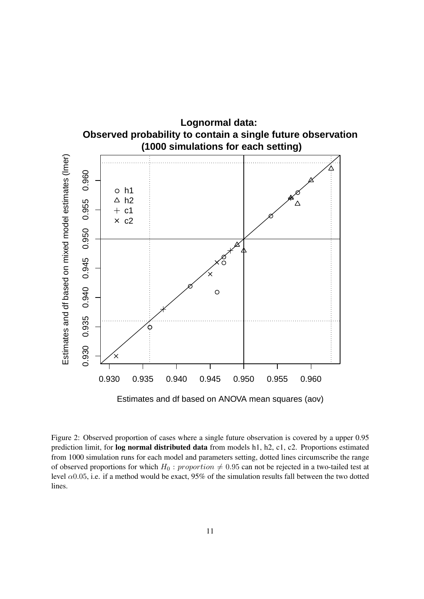

Figure 2: Observed proportion of cases where a single future observation is covered by a upper 0.95 prediction limit, for log normal distributed data from models h1, h2, c1, c2. Proportions estimated from 1000 simulation runs for each model and parameters setting, dotted lines circumscribe the range of observed proportions for which  $H_0$ : proportion  $\neq 0.95$  can not be rejected in a two-tailed test at level  $\alpha$ 0.05, i.e. if a method would be exact, 95% of the simulation results fall between the two dotted lines.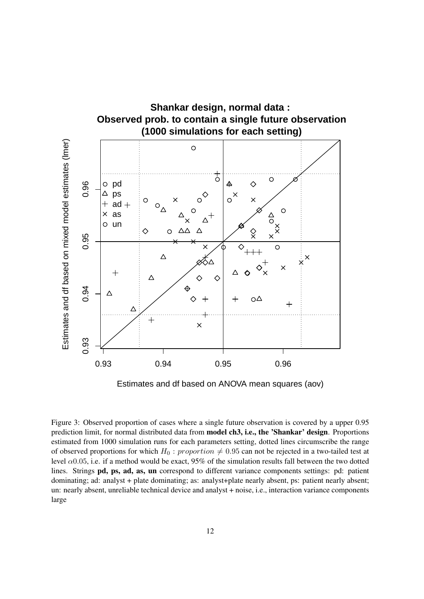

Estimates and df based on ANOVA mean squares (aov)

Figure 3: Observed proportion of cases where a single future observation is covered by a upper 0.95 prediction limit, for normal distributed data from model ch3, i.e., the 'Shankar' design. Proportions estimated from 1000 simulation runs for each parameters setting, dotted lines circumscribe the range of observed proportions for which  $H_0$ : proportion  $\neq 0.95$  can not be rejected in a two-tailed test at level  $\alpha$ 0.05, i.e. if a method would be exact, 95% of the simulation results fall between the two dotted lines. Strings pd, ps, ad, as, un correspond to different variance components settings: pd: patient dominating; ad: analyst + plate dominating; as: analyst+plate nearly absent, ps: patient nearly absent; un: nearly absent, unreliable technical device and analyst + noise, i.e., interaction variance components large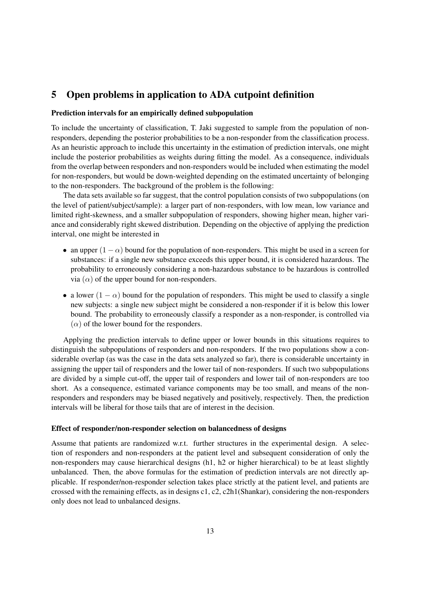# 5 Open problems in application to ADA cutpoint definition

#### Prediction intervals for an empirically defined subpopulation

To include the uncertainty of classification, T. Jaki suggested to sample from the population of nonresponders, depending the posterior probabilities to be a non-responder from the classification process. As an heuristic approach to include this uncertainty in the estimation of prediction intervals, one might include the posterior probabilities as weights during fitting the model. As a consequence, individuals from the overlap between responders and non-responders would be included when estimating the model for non-responders, but would be down-weighted depending on the estimated uncertainty of belonging to the non-responders. The background of the problem is the following:

The data sets available so far suggest, that the control population consists of two subpopulations (on the level of patient/subject/sample): a larger part of non-responders, with low mean, low variance and limited right-skewness, and a smaller subpopulation of responders, showing higher mean, higher variance and considerably right skewed distribution. Depending on the objective of applying the prediction interval, one might be interested in

- an upper  $(1 \alpha)$  bound for the population of non-responders. This might be used in a screen for substances: if a single new substance exceeds this upper bound, it is considered hazardous. The probability to erroneously considering a non-hazardous substance to be hazardous is controlled via  $(\alpha)$  of the upper bound for non-responders.
- a lower  $(1 \alpha)$  bound for the population of responders. This might be used to classify a single new subjects: a single new subject might be considered a non-responder if it is below this lower bound. The probability to erroneously classify a responder as a non-responder, is controlled via  $(\alpha)$  of the lower bound for the responders.

Applying the prediction intervals to define upper or lower bounds in this situations requires to distinguish the subpopulations of responders and non-responders. If the two populations show a considerable overlap (as was the case in the data sets analyzed so far), there is considerable uncertainty in assigning the upper tail of responders and the lower tail of non-responders. If such two subpopulations are divided by a simple cut-off, the upper tail of responders and lower tail of non-responders are too short. As a consequence, estimated variance components may be too small, and means of the nonresponders and responders may be biased negatively and positively, respectively. Then, the prediction intervals will be liberal for those tails that are of interest in the decision.

#### Effect of responder/non-responder selection on balancedness of designs

Assume that patients are randomized w.r.t. further structures in the experimental design. A selection of responders and non-responders at the patient level and subsequent consideration of only the non-responders may cause hierarchical designs (h1, h2 or higher hierarchical) to be at least slightly unbalanced. Then, the above formulas for the estimation of prediction intervals are not directly applicable. If responder/non-responder selection takes place strictly at the patient level, and patients are crossed with the remaining effects, as in designs c1, c2, c2h1(Shankar), considering the non-responders only does not lead to unbalanced designs.